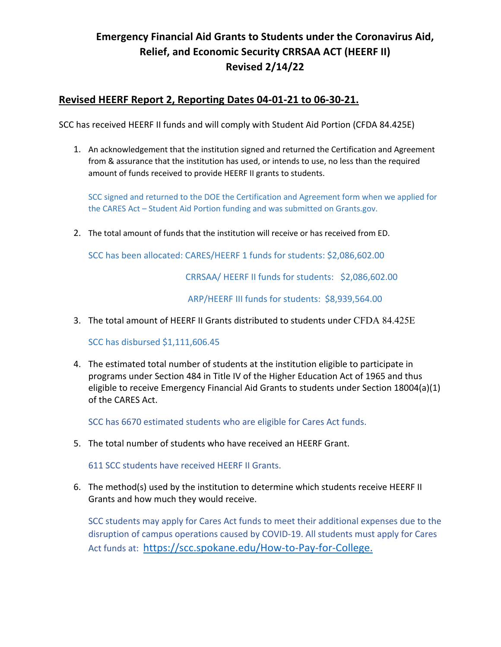## **Emergency Financial Aid Grants to Students under the Coronavirus Aid, Relief, and Economic Security CRRSAA ACT (HEERF II) Revised 2/14/22**

## **Revised HEERF Report 2, Reporting Dates 04-01-21 to 06-30-21.**

SCC has received HEERF II funds and will comply with Student Aid Portion (CFDA 84.425E)

1. An acknowledgement that the institution signed and returned the Certification and Agreement from & assurance that the institution has used, or intends to use, no less than the required amount of funds received to provide HEERF II grants to students.

SCC signed and returned to the DOE the Certification and Agreement form when we applied for the CARES Act – Student Aid Portion funding and was submitted on Grants.gov.

2. The total amount of funds that the institution will receive or has received from ED.

SCC has been allocated: CARES/HEERF 1 funds for students: \$2,086,602.00

CRRSAA/ HEERF II funds for students: \$2,086,602.00

ARP/HEERF III funds for students: \$8,939,564.00

3. The total amount of HEERF II Grants distributed to students under CFDA 84.425E

SCC has disbursed \$1,111,606.45

4. The estimated total number of students at the institution eligible to participate in programs under Section 484 in Title IV of the Higher Education Act of 1965 and thus eligible to receive Emergency Financial Aid Grants to students under Section 18004(a)(1) of the CARES Act.

SCC has 6670 estimated students who are eligible for Cares Act funds.

5. The total number of students who have received an HEERF Grant.

611 SCC students have received HEERF II Grants.

6. The method(s) used by the institution to determine which students receive HEERF II Grants and how much they would receive.

SCC students may apply for Cares Act funds to meet their additional expenses due to the disruption of campus operations caused by COVID-19. All students must apply for Cares Act funds at: https://scc.spokane.edu/How-to-Pay-for-College.